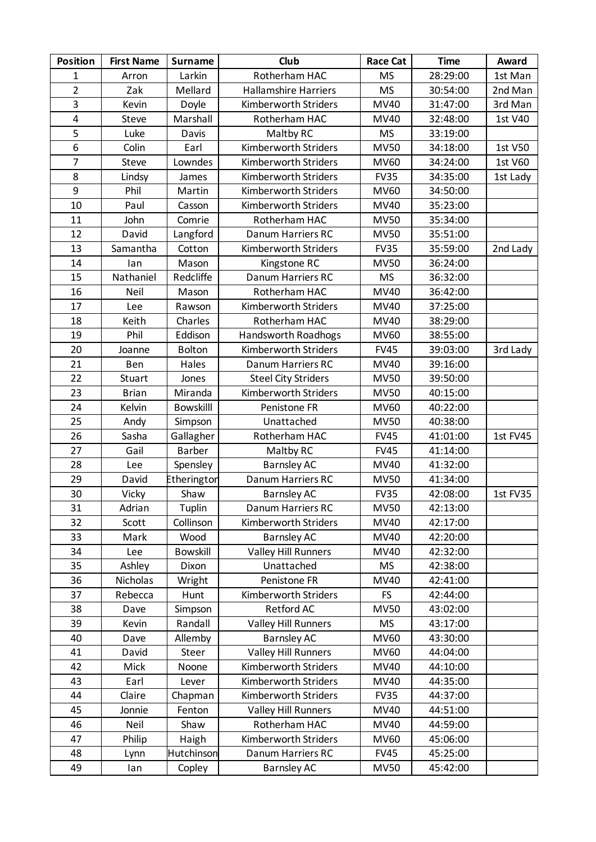| <b>Position</b>         | <b>First Name</b> | <b>Surname</b>   | Club                        | <b>Race Cat</b> | <b>Time</b> | Award    |
|-------------------------|-------------------|------------------|-----------------------------|-----------------|-------------|----------|
| $\mathbf{1}$            | Arron             | Larkin           | Rotherham HAC               | <b>MS</b>       | 28:29:00    | 1st Man  |
| $\overline{2}$          | Zak               | Mellard          | <b>Hallamshire Harriers</b> | <b>MS</b>       | 30:54:00    | 2nd Man  |
| 3                       | Kevin             | Doyle            | Kimberworth Striders        | MV40            | 31:47:00    | 3rd Man  |
| $\overline{\mathbf{4}}$ | <b>Steve</b>      | Marshall         | Rotherham HAC               | MV40            | 32:48:00    | 1st V40  |
| 5                       | Luke              | Davis            | Maltby RC                   | <b>MS</b>       | 33:19:00    |          |
| 6                       | Colin             | Earl             | Kimberworth Striders        | <b>MV50</b>     | 34:18:00    | 1st V50  |
| $\overline{7}$          | Steve             | Lowndes          | Kimberworth Striders        | <b>MV60</b>     | 34:24:00    | 1st V60  |
| 8                       | Lindsy            | James            | Kimberworth Striders        | <b>FV35</b>     | 34:35:00    | 1st Lady |
| 9                       | Phil              | Martin           | Kimberworth Striders        | <b>MV60</b>     | 34:50:00    |          |
| 10                      | Paul              | Casson           | Kimberworth Striders        | MV40            | 35:23:00    |          |
| 11                      | John              | Comrie           | Rotherham HAC               | <b>MV50</b>     | 35:34:00    |          |
| 12                      | David             | Langford         | Danum Harriers RC           | <b>MV50</b>     | 35:51:00    |          |
| 13                      | Samantha          | Cotton           | Kimberworth Striders        | <b>FV35</b>     | 35:59:00    | 2nd Lady |
| 14                      | lan               | Mason            | Kingstone RC                | <b>MV50</b>     | 36:24:00    |          |
| 15                      | Nathaniel         | Redcliffe        | Danum Harriers RC           | <b>MS</b>       | 36:32:00    |          |
| 16                      | Neil              | Mason            | Rotherham HAC               | MV40            | 36:42:00    |          |
| 17                      | Lee               | Rawson           | Kimberworth Striders        | <b>MV40</b>     | 37:25:00    |          |
| 18                      | Keith             | Charles          | Rotherham HAC               | MV40            | 38:29:00    |          |
| 19                      | Phil              | Eddison          | <b>Handsworth Roadhogs</b>  | <b>MV60</b>     | 38:55:00    |          |
| 20                      | Joanne            | <b>Bolton</b>    | Kimberworth Striders        | <b>FV45</b>     | 39:03:00    | 3rd Lady |
| 21                      | Ben               | Hales            | Danum Harriers RC           | MV40            | 39:16:00    |          |
| 22                      | Stuart            | Jones            | <b>Steel City Striders</b>  | <b>MV50</b>     | 39:50:00    |          |
| 23                      | <b>Brian</b>      | Miranda          | Kimberworth Striders        | <b>MV50</b>     | 40:15:00    |          |
| 24                      | Kelvin            | <b>Bowskilll</b> | Penistone FR                | MV60            | 40:22:00    |          |
| 25                      | Andy              | Simpson          | Unattached                  | <b>MV50</b>     | 40:38:00    |          |
| 26                      | Sasha             | Gallagher        | Rotherham HAC               | <b>FV45</b>     | 41:01:00    | 1st FV45 |
| 27                      | Gail              | Barber           | Maltby RC                   | <b>FV45</b>     | 41:14:00    |          |
| 28                      | Lee               | Spensley         | <b>Barnsley AC</b>          | MV40            | 41:32:00    |          |
| 29                      | David             | Etherington      | Danum Harriers RC           | <b>MV50</b>     | 41:34:00    |          |
| 30                      | Vicky             | Shaw             | <b>Barnsley AC</b>          | <b>FV35</b>     | 42:08:00    | 1st FV35 |
| 31                      | Adrian            | Tuplin           | Danum Harriers RC           | <b>MV50</b>     | 42:13:00    |          |
| 32                      | Scott             | Collinson        | Kimberworth Striders        | MV40            | 42:17:00    |          |
| 33                      | Mark              | Wood             | <b>Barnsley AC</b>          | <b>MV40</b>     | 42:20:00    |          |
| 34                      | Lee               | <b>Bowskill</b>  | <b>Valley Hill Runners</b>  | MV40            | 42:32:00    |          |
| 35                      | Ashley            | Dixon            | Unattached                  | <b>MS</b>       | 42:38:00    |          |
| 36                      | Nicholas          | Wright           | Penistone FR                | MV40            | 42:41:00    |          |
| 37                      | Rebecca           | Hunt             | Kimberworth Striders        | <b>FS</b>       | 42:44:00    |          |
| 38                      | Dave              | Simpson          | Retford AC                  | <b>MV50</b>     | 43:02:00    |          |
| 39                      | Kevin             | Randall          | <b>Valley Hill Runners</b>  | <b>MS</b>       | 43:17:00    |          |
| 40                      | Dave              | Allemby          | <b>Barnsley AC</b>          | <b>MV60</b>     | 43:30:00    |          |
| 41                      | David             | Steer            | <b>Valley Hill Runners</b>  | <b>MV60</b>     | 44:04:00    |          |
| 42                      | Mick              | Noone            | Kimberworth Striders        | MV40            | 44:10:00    |          |
| 43                      | Earl              | Lever            | Kimberworth Striders        | MV40            | 44:35:00    |          |
| 44                      | Claire            | Chapman          | Kimberworth Striders        | <b>FV35</b>     | 44:37:00    |          |
| 45                      | Jonnie            | Fenton           | <b>Valley Hill Runners</b>  | MV40            | 44:51:00    |          |
| 46                      | Neil              | Shaw             | Rotherham HAC               | MV40            | 44:59:00    |          |
| 47                      | Philip            | Haigh            | Kimberworth Striders        | MV60            | 45:06:00    |          |
| 48                      | Lynn              | Hutchinson       | Danum Harriers RC           | <b>FV45</b>     | 45:25:00    |          |
| 49                      | lan               | Copley           | <b>Barnsley AC</b>          | <b>MV50</b>     | 45:42:00    |          |